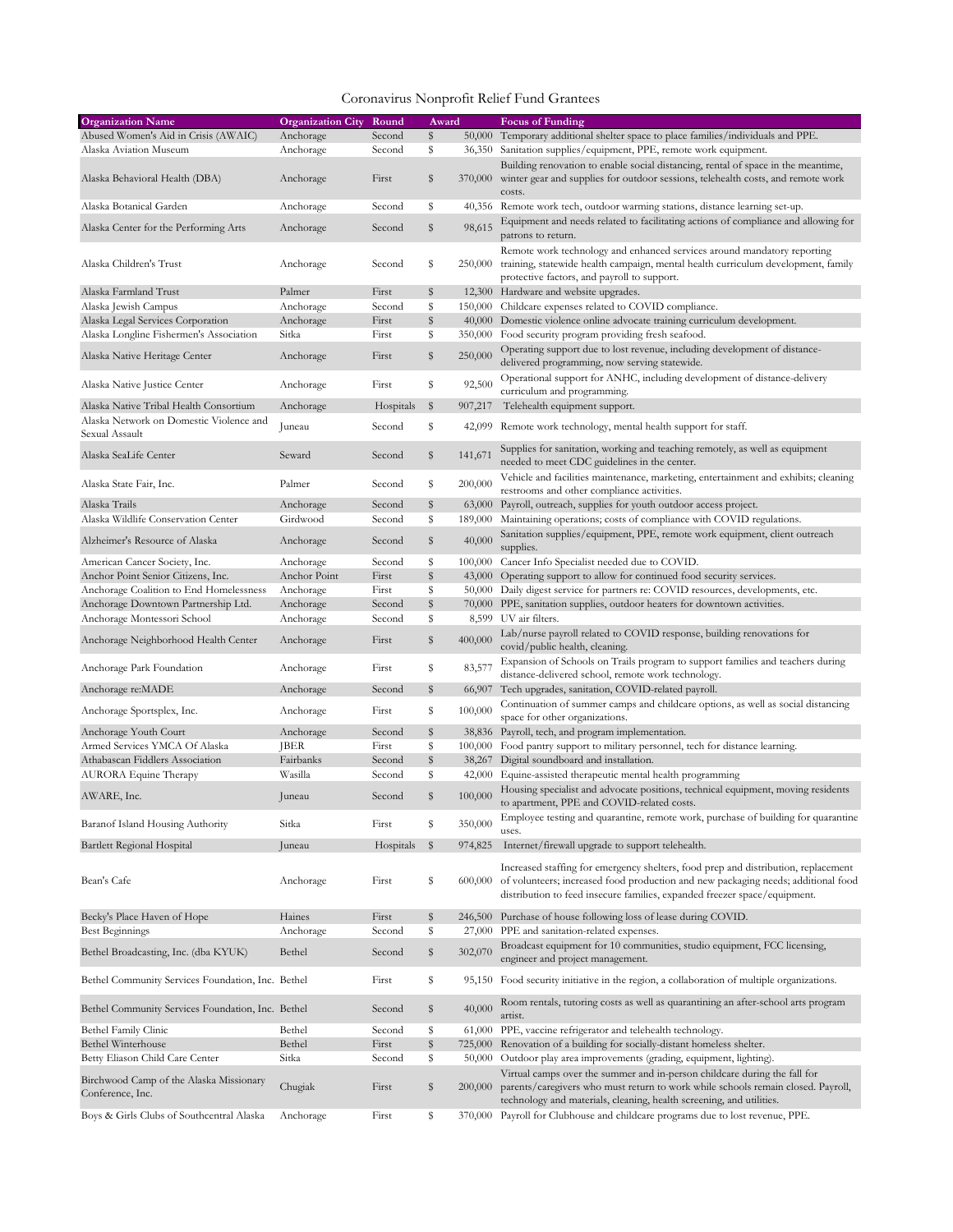| <b>Organization Name</b>                          | <b>Organization City</b> | Round     | Award |         | <b>Focus of Funding</b>                                                                                            |
|---------------------------------------------------|--------------------------|-----------|-------|---------|--------------------------------------------------------------------------------------------------------------------|
| Abused Women's Aid in Crisis (AWAIC)              | Anchorage                | Second    | \$    |         | 50,000 Temporary additional shelter space to place families/individuals and PPE.                                   |
| Alaska Aviation Museum                            | Anchorage                | Second    | \$    |         | 36,350 Sanitation supplies/equipment, PPE, remote work equipment.                                                  |
|                                                   |                          |           |       |         | Building renovation to enable social distancing, rental of space in the meantime,                                  |
| Alaska Behavioral Health (DBA)                    | Anchorage                | First     | \$    |         | 370,000 winter gear and supplies for outdoor sessions, telehealth costs, and remote work                           |
|                                                   |                          |           |       |         | costs.                                                                                                             |
| Alaska Botanical Garden                           | Anchorage                | Second    | \$    |         | 40,356 Remote work tech, outdoor warming stations, distance learning set-up.                                       |
| Alaska Center for the Performing Arts             | Anchorage                | Second    | \$    | 98,615  | Equipment and needs related to facilitating actions of compliance and allowing for                                 |
|                                                   |                          |           |       |         | patrons to return.                                                                                                 |
|                                                   |                          |           |       |         | Remote work technology and enhanced services around mandatory reporting                                            |
| Alaska Children's Trust                           | Anchorage                | Second    | \$    |         | 250,000 training, statewide health campaign, mental health curriculum development, family                          |
| Alaska Farmland Trust                             | Palmer                   | First     | \$    |         | protective factors, and payroll to support.<br>12,300 Hardware and website upgrades.                               |
| Alaska Jewish Campus                              | Anchorage                | Second    | \$    | 150,000 | Childcare expenses related to COVID compliance.                                                                    |
| Alaska Legal Services Corporation                 | Anchorage                | First     | \$    |         | 40,000 Domestic violence online advocate training curriculum development.                                          |
| Alaska Longline Fishermen's Association           | Sitka                    | First     | \$    | 350,000 | Food security program providing fresh seafood.                                                                     |
|                                                   |                          |           |       |         | Operating support due to lost revenue, including development of distance-                                          |
| Alaska Native Heritage Center                     | Anchorage                | First     | \$    | 250,000 | delivered programming, now serving statewide.                                                                      |
|                                                   |                          |           |       |         | Operational support for ANHC, including development of distance-delivery                                           |
| Alaska Native Justice Center                      | Anchorage                | First     | \$    | 92,500  | curriculum and programming.                                                                                        |
| Alaska Native Tribal Health Consortium            | Anchorage                | Hospitals | \$    | 907,217 | Telehealth equipment support.                                                                                      |
| Alaska Network on Domestic Violence and           |                          |           |       |         |                                                                                                                    |
| Sexual Assault                                    | Juneau                   | Second    | \$    |         | 42,099 Remote work technology, mental health support for staff.                                                    |
| Alaska SeaLife Center                             | Seward                   |           | \$    | 141,671 | Supplies for sanitation, working and teaching remotely, as well as equipment                                       |
|                                                   |                          | Second    |       |         | needed to meet CDC guidelines in the center.                                                                       |
| Alaska State Fair, Inc.                           | Palmer                   | Second    | \$    | 200,000 | Vehicle and facilities maintenance, marketing, entertainment and exhibits; cleaning                                |
|                                                   |                          |           |       |         | restrooms and other compliance activities.                                                                         |
| Alaska Trails                                     | Anchorage                | Second    | \$    | 63,000  | Payroll, outreach, supplies for youth outdoor access project.                                                      |
| Alaska Wildlife Conservation Center               | Girdwood                 | Second    | \$    | 189,000 | Maintaining operations; costs of compliance with COVID regulations.                                                |
| Alzheimer's Resource of Alaska                    | Anchorage                | Second    | \$    | 40,000  | Sanitation supplies/equipment, PPE, remote work equipment, client outreach                                         |
|                                                   |                          |           |       |         | supplies.                                                                                                          |
| American Cancer Society, Inc.                     | Anchorage                | Second    | \$    |         | 100,000 Cancer Info Specialist needed due to COVID.                                                                |
| Anchor Point Senior Citizens, Inc.                | Anchor Point             | First     | \$    |         | 43,000 Operating support to allow for continued food security services.                                            |
| Anchorage Coalition to End Homelessness           | Anchorage                | First     | \$    |         | 50,000 Daily digest service for partners re: COVID resources, developments, etc.                                   |
| Anchorage Downtown Partnership Ltd.               | Anchorage                | Second    | \$    |         | 70,000 PPE, sanitation supplies, outdoor heaters for downtown activities.                                          |
| Anchorage Montessori School                       | Anchorage                | Second    | \$    |         | 8,599 UV air filters.                                                                                              |
| Anchorage Neighborhood Health Center              | Anchorage                | First     | \$    | 400,000 | Lab/nurse payroll related to COVID response, building renovations for                                              |
|                                                   |                          |           |       |         | covid/public health, cleaning.                                                                                     |
| Anchorage Park Foundation                         | Anchorage                | First     | \$    | 83,577  | Expansion of Schools on Trails program to support families and teachers during                                     |
|                                                   |                          |           | \$    |         | distance-delivered school, remote work technology.                                                                 |
| Anchorage re:MADE                                 | Anchorage                | Second    |       |         | 66,907 Tech upgrades, sanitation, COVID-related payroll.                                                           |
| Anchorage Sportsplex, Inc.                        | Anchorage                | First     | \$    | 100,000 | Continuation of summer camps and childcare options, as well as social distancing<br>space for other organizations. |
| Anchorage Youth Court                             | Anchorage                | Second    | \$    |         | 38,836 Payroll, tech, and program implementation.                                                                  |
| Armed Services YMCA Of Alaska                     | <b>JBER</b>              | First     | \$    | 100,000 | Food pantry support to military personnel, tech for distance learning.                                             |
| Athabascan Fiddlers Association                   | Fairbanks                | Second    | \$    |         | 38,267 Digital soundboard and installation.                                                                        |
| AURORA Equine Therapy                             | Wasilla                  | Second    | \$    | 42,000  | Equine-assisted therapeutic mental health programming                                                              |
|                                                   |                          |           |       |         | Housing specialist and advocate positions, technical equipment, moving residents                                   |
| AWARE, Inc.                                       | Juneau                   | Second    | \$    | 100,000 | to apartment, PPE and COVID-related costs.                                                                         |
|                                                   |                          |           |       |         | Employee testing and quarantine, remote work, purchase of building for quarantine                                  |
| Baranof Island Housing Authority                  | Sitka                    | First     | \$    | 350,000 | uses.                                                                                                              |
| Bartlett Regional Hospital                        | Juneau                   | Hospitals | \$    | 974,825 | Internet/firewall upgrade to support telehealth.                                                                   |
|                                                   |                          |           |       |         |                                                                                                                    |
|                                                   |                          |           |       |         | Increased staffing for emergency shelters, food prep and distribution, replacement                                 |
| Bean's Cafe                                       | Anchorage                | First     | \$    |         | 600,000 of volunteers; increased food production and new packaging needs; additional food                          |
|                                                   |                          |           |       |         | distribution to feed insecure families, expanded freezer space/equipment.                                          |
| Becky's Place Haven of Hope                       | Haines                   | First     | \$    |         | 246,500 Purchase of house following loss of lease during COVID.                                                    |
| Best Beginnings                                   | Anchorage                | Second    | \$    | 27,000  | PPE and sanitation-related expenses.                                                                               |
| Bethel Broadcasting, Inc. (dba KYUK)              | Bethel                   | Second    | \$    | 302,070 | Broadcast equipment for 10 communities, studio equipment, FCC licensing,                                           |
|                                                   |                          |           |       |         | engineer and project management.                                                                                   |
| Bethel Community Services Foundation, Inc. Bethel |                          | First     | \$    |         | 95,150 Food security initiative in the region, a collaboration of multiple organizations.                          |
|                                                   |                          |           |       |         |                                                                                                                    |
| Bethel Community Services Foundation, Inc. Bethel |                          | Second    | \$    | 40,000  | Room rentals, tutoring costs as well as quarantining an after-school arts program                                  |
|                                                   |                          |           |       |         | artist.                                                                                                            |
| Bethel Family Clinic                              | Bethel                   | Second    | \$    |         | 61,000 PPE, vaccine refrigerator and telehealth technology.                                                        |
| <b>Bethel Winterhouse</b>                         | Bethel                   | First     | \$    |         | 725,000 Renovation of a building for socially-distant homeless shelter.                                            |
| Betty Eliason Child Care Center                   | Sitka                    | Second    | \$    | 50,000  | Outdoor play area improvements (grading, equipment, lighting).                                                     |
| Birchwood Camp of the Alaska Missionary           |                          |           |       |         | Virtual camps over the summer and in-person childcare during the fall for                                          |
| Conference, Inc.                                  | Chugiak                  | First     | \$    | 200,000 | parents/caregivers who must return to work while schools remain closed. Payroll,                                   |
|                                                   |                          |           |       |         | technology and materials, cleaning, health screening, and utilities.                                               |
| Boys & Girls Clubs of Southcentral Alaska         | Anchorage                | First     | \$    |         | 370,000 Payroll for Clubhouse and childcare programs due to lost revenue, PPE.                                     |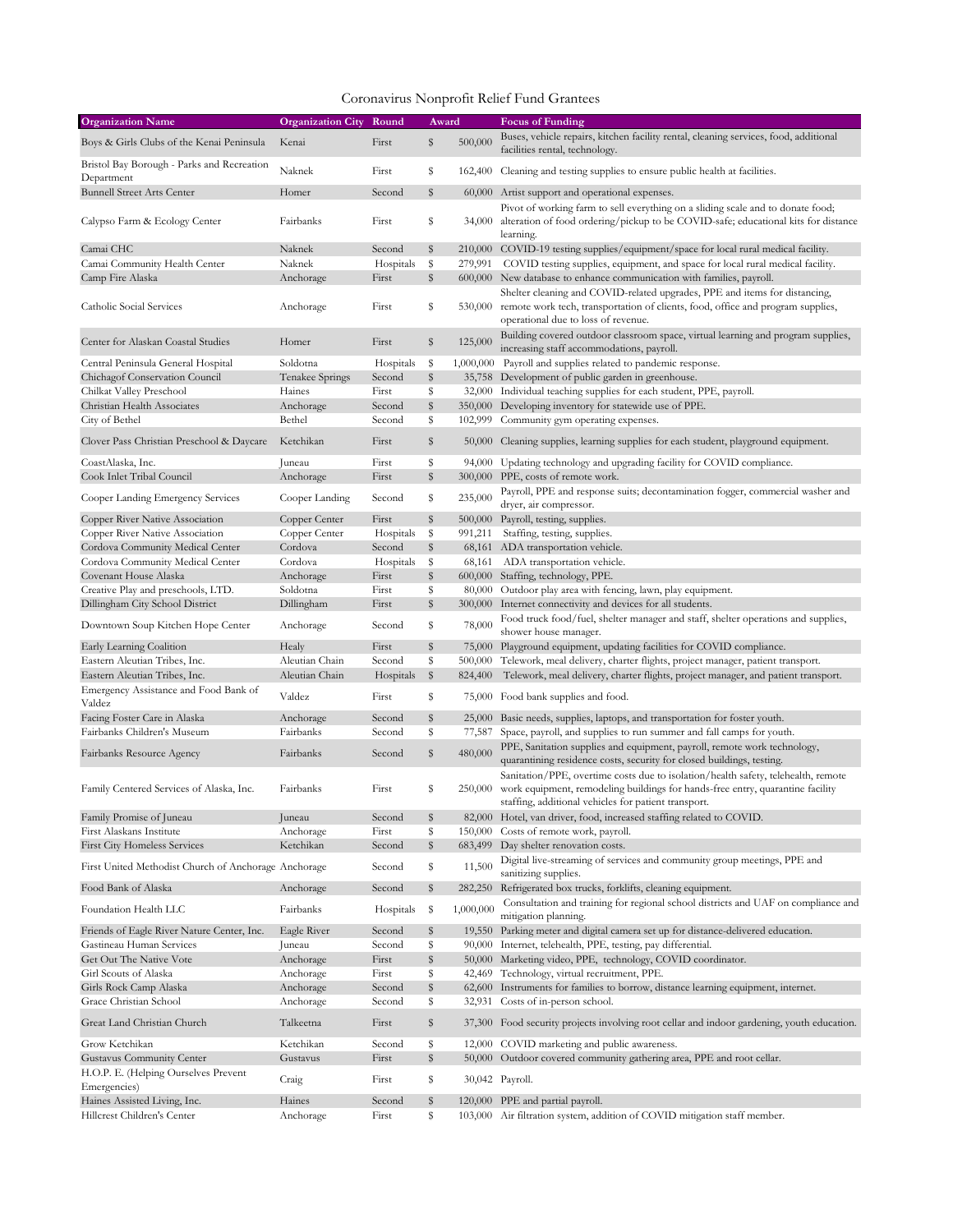| <b>Organization Name</b>                                           | <b>Organization City</b> | Round              | Award    |           | <b>Focus of Funding</b>                                                                                                                                                                                                     |
|--------------------------------------------------------------------|--------------------------|--------------------|----------|-----------|-----------------------------------------------------------------------------------------------------------------------------------------------------------------------------------------------------------------------------|
| Boys & Girls Clubs of the Kenai Peninsula                          | Kenai                    | First              | \$       | 500,000   | Buses, vehicle repairs, kitchen facility rental, cleaning services, food, additional<br>facilities rental, technology.                                                                                                      |
| Bristol Bay Borough - Parks and Recreation<br>Department           | Naknek                   | First              | \$       |           | 162,400 Cleaning and testing supplies to ensure public health at facilities.                                                                                                                                                |
| <b>Bunnell Street Arts Center</b>                                  | Homer                    | Second             | \$       |           | 60,000 Artist support and operational expenses.                                                                                                                                                                             |
| Calypso Farm & Ecology Center                                      | Fairbanks                | First              | \$       | 34,000    | Pivot of working farm to sell everything on a sliding scale and to donate food;<br>alteration of food ordering/pickup to be COVID-safe; educational kits for distance<br>learning.                                          |
| Camai CHC                                                          | Naknek                   | Second             | \$       |           | 210,000 COVID-19 testing supplies/equipment/space for local rural medical facility.                                                                                                                                         |
| Camai Community Health Center                                      | Naknek                   | Hospitals          | \$       |           | 279,991 COVID testing supplies, equipment, and space for local rural medical facility.                                                                                                                                      |
| Camp Fire Alaska                                                   | Anchorage                | First              | \$       |           | 600,000 New database to enhance communication with families, payroll.                                                                                                                                                       |
| Catholic Social Services                                           | Anchorage                | First              | \$       | 530,000   | Shelter cleaning and COVID-related upgrades, PPE and items for distancing,<br>remote work tech, transportation of clients, food, office and program supplies,<br>operational due to loss of revenue.                        |
| Center for Alaskan Coastal Studies                                 | Homer                    | First              | \$       | 125,000   | Building covered outdoor classroom space, virtual learning and program supplies,<br>increasing staff accommodations, payroll.                                                                                               |
| Central Peninsula General Hospital                                 | Soldotna                 | Hospitals          | -\$      |           | 1,000,000 Payroll and supplies related to pandemic response.                                                                                                                                                                |
| Chichagof Conservation Council                                     | Tenakee Springs          | Second             | \$       |           | 35,758 Development of public garden in greenhouse.                                                                                                                                                                          |
| Chilkat Valley Preschool                                           | Haines                   | First              | \$       |           | 32,000 Individual teaching supplies for each student, PPE, payroll.                                                                                                                                                         |
| Christian Health Associates                                        | Anchorage                | Second             | \$       |           | 350,000 Developing inventory for statewide use of PPE.                                                                                                                                                                      |
| City of Bethel                                                     | Bethel                   | Second             | \$       |           | 102,999 Community gym operating expenses.                                                                                                                                                                                   |
| Clover Pass Christian Preschool & Daycare                          | Ketchikan                | First              | \$       |           | 50,000 Cleaning supplies, learning supplies for each student, playground equipment.                                                                                                                                         |
| CoastAlaska, Inc.                                                  | Juneau                   | First              | \$       | 94,000    | Updating technology and upgrading facility for COVID compliance.                                                                                                                                                            |
| Cook Inlet Tribal Council                                          | Anchorage                | First              | \$       |           | 300,000 PPE, costs of remote work.                                                                                                                                                                                          |
| Cooper Landing Emergency Services                                  | Cooper Landing           | Second             | \$       | 235,000   | Payroll, PPE and response suits; decontamination fogger, commercial washer and                                                                                                                                              |
|                                                                    | Copper Center            |                    |          |           | dryer, air compressor.                                                                                                                                                                                                      |
| Copper River Native Association<br>Copper River Native Association | Copper Center            | First<br>Hospitals | \$<br>\$ | 991,211   | 500,000 Payroll, testing, supplies.<br>Staffing, testing, supplies.                                                                                                                                                         |
| Cordova Community Medical Center                                   | Cordova                  | Second             | \$       |           | 68,161 ADA transportation vehicle.                                                                                                                                                                                          |
| Cordova Community Medical Center                                   | Cordova                  | Hospitals          | -\$      |           | 68,161 ADA transportation vehicle.                                                                                                                                                                                          |
| Covenant House Alaska                                              | Anchorage                | First              | \$       |           | 600,000 Staffing, technology, PPE.                                                                                                                                                                                          |
| Creative Play and preschools, LTD.                                 | Soldotna                 | First              | \$       |           | 80,000 Outdoor play area with fencing, lawn, play equipment.                                                                                                                                                                |
| Dillingham City School District                                    | Dillingham               | First              | \$       |           | 300,000 Internet connectivity and devices for all students.                                                                                                                                                                 |
| Downtown Soup Kitchen Hope Center                                  | Anchorage                | Second             | \$       | 78,000    | Food truck food/fuel, shelter manager and staff, shelter operations and supplies,<br>shower house manager.                                                                                                                  |
| Early Learning Coalition                                           | Healy                    | First              | \$       |           | 75,000 Playground equipment, updating facilities for COVID compliance.                                                                                                                                                      |
| Eastern Aleutian Tribes, Inc.                                      | Aleutian Chain           | Second             | \$       |           | 500,000 Telework, meal delivery, charter flights, project manager, patient transport.                                                                                                                                       |
| Eastern Aleutian Tribes, Inc.                                      | Aleutian Chain           | Hospitals          | \$       | 824,400   | Telework, meal delivery, charter flights, project manager, and patient transport.                                                                                                                                           |
| Emergency Assistance and Food Bank of<br>Valdez                    | Valdez                   | First              | \$       |           | 75,000 Food bank supplies and food.                                                                                                                                                                                         |
| Facing Foster Care in Alaska                                       | Anchorage                | Second             | \$       |           | 25,000 Basic needs, supplies, laptops, and transportation for foster youth.                                                                                                                                                 |
| Fairbanks Children's Museum                                        | Fairbanks                | Second             | \$       | 77,587    | Space, payroll, and supplies to run summer and fall camps for youth.                                                                                                                                                        |
| Fairbanks Resource Agency                                          | Fairbanks                | Second             | \$       | 480,000   | PPE, Sanitation supplies and equipment, payroll, remote work technology,<br>quarantining residence costs, security for closed buildings, testing.                                                                           |
| Family Centered Services of Alaska, Inc.                           | Fairbanks                | First              | \$       | 250,000   | Sanitation/PPE, overtime costs due to isolation/health safety, telehealth, remote<br>work equipment, remodeling buildings for hands-free entry, quarantine facility<br>staffing, additional vehicles for patient transport. |
| Family Promise of Juneau                                           | Juneau                   | Second             | \$       |           | 82,000 Hotel, van driver, food, increased staffing related to COVID.                                                                                                                                                        |
| First Alaskans Institute                                           | Anchorage                | First              | \$       |           | 150,000 Costs of remote work, payroll.                                                                                                                                                                                      |
| <b>First City Homeless Services</b>                                | Ketchikan                | Second             | \$       |           | 683,499 Day shelter renovation costs.                                                                                                                                                                                       |
| First United Methodist Church of Anchorage Anchorage               |                          | Second             | \$       | 11,500    | Digital live-streaming of services and community group meetings, PPE and<br>sanitizing supplies.                                                                                                                            |
| Food Bank of Alaska                                                | Anchorage                | Second             | \$       |           | 282,250 Refrigerated box trucks, forklifts, cleaning equipment.<br>Consultation and training for regional school districts and UAF on compliance and                                                                        |
| Foundation Health LLC                                              | Fairbanks                | Hospitals          | - \$     | 1,000,000 | mitigation planning.                                                                                                                                                                                                        |
| Friends of Eagle River Nature Center, Inc.                         | Eagle River              | Second             | \$<br>\$ |           | 19,550 Parking meter and digital camera set up for distance-delivered education.                                                                                                                                            |
| Gastineau Human Services<br>Get Out The Native Vote                | Juneau<br>Anchorage      | Second<br>First    | \$       |           | 90,000 Internet, telehealth, PPE, testing, pay differential.<br>50,000 Marketing video, PPE, technology, COVID coordinator.                                                                                                 |
| Girl Scouts of Alaska                                              | Anchorage                | First              | \$       |           | 42,469 Technology, virtual recruitment, PPE.                                                                                                                                                                                |
| Girls Rock Camp Alaska                                             | Anchorage                | Second             | \$       |           | 62,600 Instruments for families to borrow, distance learning equipment, internet.                                                                                                                                           |
| Grace Christian School                                             | Anchorage                | Second             | \$       |           | 32,931 Costs of in-person school.                                                                                                                                                                                           |
| Great Land Christian Church                                        | Talkeetna                | First              | \$       |           | 37,300 Food security projects involving root cellar and indoor gardening, youth education.                                                                                                                                  |
| Grow Ketchikan                                                     | Ketchikan                | Second             | \$       |           | 12,000 COVID marketing and public awareness.                                                                                                                                                                                |
| Gustavus Community Center                                          | Gustavus                 | First              | \$       |           | 50,000 Outdoor covered community gathering area, PPE and root cellar.                                                                                                                                                       |
| H.O.P. E. (Helping Ourselves Prevent<br>Emergencies)               | Craig                    | First              | \$       |           | 30,042 Payroll.                                                                                                                                                                                                             |
| Haines Assisted Living, Inc.                                       | Haines                   | Second             | \$       |           | 120,000 PPE and partial payroll.                                                                                                                                                                                            |
| Hillcrest Children's Center                                        | Anchorage                | First              | \$       |           | 103,000 Air filtration system, addition of COVID mitigation staff member.                                                                                                                                                   |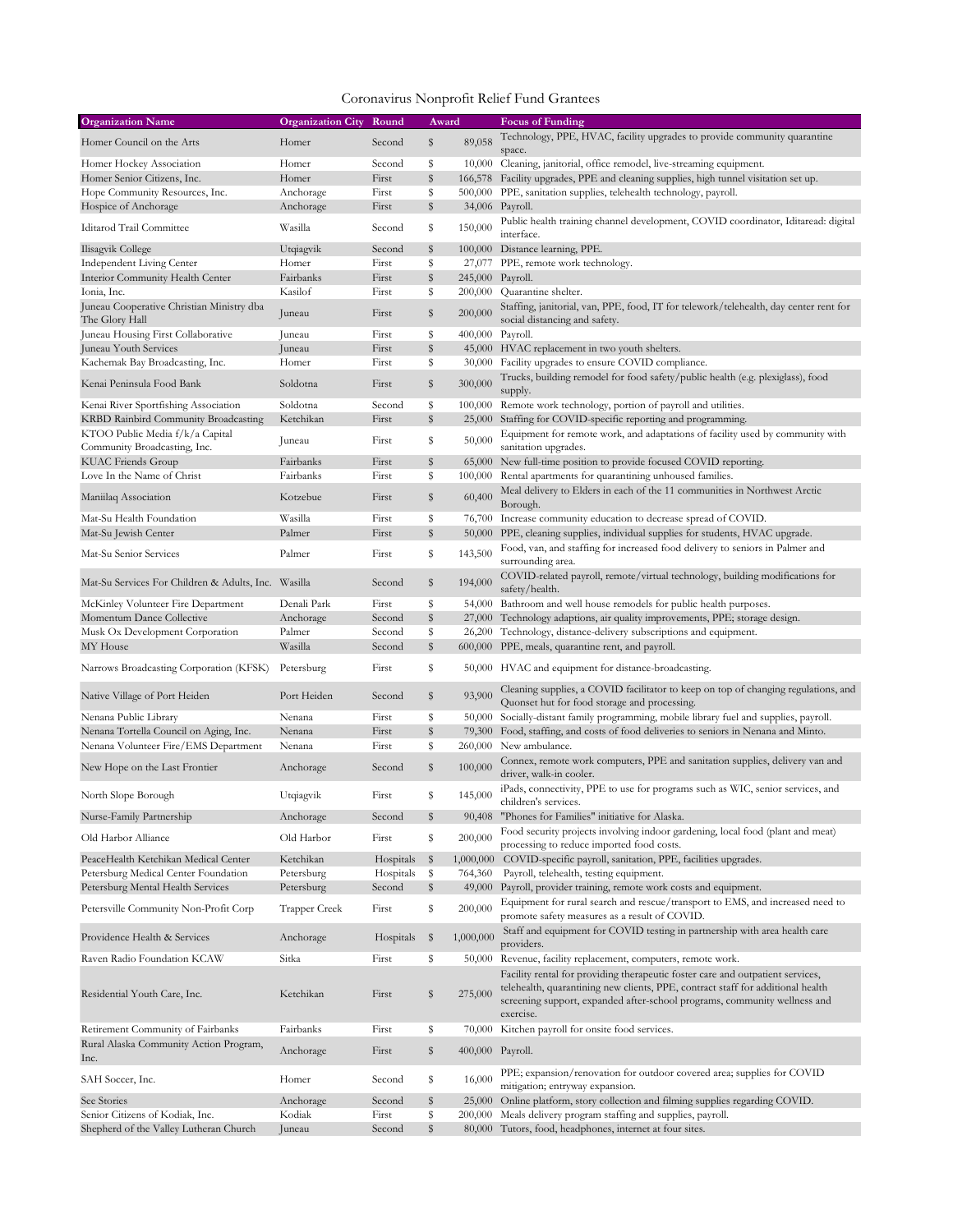| <b>Organization Name</b>                                    | <b>Organization City</b> | Round     | Award        |                  | Focus of Funding                                                                                                                                                                                                                                            |
|-------------------------------------------------------------|--------------------------|-----------|--------------|------------------|-------------------------------------------------------------------------------------------------------------------------------------------------------------------------------------------------------------------------------------------------------------|
| Homer Council on the Arts                                   | Homer                    | Second    | \$           | 89,058           | Technology, PPE, HVAC, facility upgrades to provide community quarantine<br>space.                                                                                                                                                                          |
| Homer Hockey Association                                    | Homer                    | Second    | \$           |                  | 10,000 Cleaning, janitorial, office remodel, live-streaming equipment.                                                                                                                                                                                      |
| Homer Senior Citizens, Inc.                                 | Homer                    | First     | \$           |                  | 166,578 Facility upgrades, PPE and cleaning supplies, high tunnel visitation set up.                                                                                                                                                                        |
| Hope Community Resources, Inc.                              | Anchorage                | First     | \$           |                  | 500,000 PPE, sanitation supplies, telehealth technology, payroll.                                                                                                                                                                                           |
| Hospice of Anchorage                                        | Anchorage                | First     | \$           |                  | 34,006 Payroll.                                                                                                                                                                                                                                             |
| Iditarod Trail Committee                                    | Wasilla                  | Second    | \$           | 150,000          | Public health training channel development, COVID coordinator, Iditaread: digital<br>interface.                                                                                                                                                             |
| Ilisagvik College                                           | Utqiagvik                | Second    | \$           |                  | 100,000 Distance learning, PPE.                                                                                                                                                                                                                             |
| <b>Independent Living Center</b>                            | Homer                    | First     | \$           |                  | 27,077 PPE, remote work technology.                                                                                                                                                                                                                         |
| Interior Community Health Center                            | Fairbanks                | First     | $\mathbb{S}$ | 245,000 Payroll. |                                                                                                                                                                                                                                                             |
| Ionia, Inc.                                                 | Kasilof                  | First     | \$           | 200,000          | Quarantine shelter.                                                                                                                                                                                                                                         |
| Juneau Cooperative Christian Ministry dba<br>The Glory Hall | Juneau                   | First     | \$           | 200,000          | Staffing, janitorial, van, PPE, food, IT for telework/telehealth, day center rent for<br>social distancing and safety.                                                                                                                                      |
| Juneau Housing First Collaborative                          | Juneau                   | First     | \$           | 400,000 Payroll. |                                                                                                                                                                                                                                                             |
| Juneau Youth Services                                       | Juneau                   | First     | \$           |                  | 45,000 HVAC replacement in two youth shelters.                                                                                                                                                                                                              |
| Kachemak Bay Broadcasting, Inc.                             | Homer                    | First     | \$           |                  | 30,000 Facility upgrades to ensure COVID compliance.                                                                                                                                                                                                        |
| Kenai Peninsula Food Bank                                   | Soldotna                 | First     | \$           | 300,000          | Trucks, building remodel for food safety/public health (e.g. plexiglass), food<br>supply.                                                                                                                                                                   |
| Kenai River Sportfishing Association                        | Soldotna                 | Second    | \$           |                  | 100,000 Remote work technology, portion of payroll and utilities.                                                                                                                                                                                           |
| KRBD Rainbird Community Broadcasting                        | Ketchikan                | First     | \$           |                  | 25,000 Staffing for COVID-specific reporting and programming.                                                                                                                                                                                               |
| KTOO Public Media f/k/a Capital                             |                          |           |              |                  | Equipment for remote work, and adaptations of facility used by community with                                                                                                                                                                               |
| Community Broadcasting, Inc.                                | Juneau                   | First     | \$           | 50,000           | sanitation upgrades.                                                                                                                                                                                                                                        |
| <b>KUAC Friends Group</b>                                   | Fairbanks                | First     | \$           |                  | 65,000 New full-time position to provide focused COVID reporting.                                                                                                                                                                                           |
| Love In the Name of Christ                                  | Fairbanks                | First     | \$           |                  | 100,000 Rental apartments for quarantining unhoused families.                                                                                                                                                                                               |
| Maniilaq Association                                        | Kotzebue                 | First     | \$           | 60,400           | Meal delivery to Elders in each of the 11 communities in Northwest Arctic<br>Borough.                                                                                                                                                                       |
| Mat-Su Health Foundation                                    | Wasilla                  | First     | \$           |                  | 76,700 Increase community education to decrease spread of COVID.                                                                                                                                                                                            |
| Mat-Su Jewish Center                                        | Palmer                   | First     | \$           |                  | 50,000 PPE, cleaning supplies, individual supplies for students, HVAC upgrade.                                                                                                                                                                              |
|                                                             |                          |           |              |                  | Food, van, and staffing for increased food delivery to seniors in Palmer and                                                                                                                                                                                |
| Mat-Su Senior Services                                      | Palmer                   | First     | \$           | 143,500          | surrounding area.                                                                                                                                                                                                                                           |
| Mat-Su Services For Children & Adults, Inc. Wasilla         |                          | Second    | \$           | 194,000          | COVID-related payroll, remote/virtual technology, building modifications for<br>safety/health.                                                                                                                                                              |
| McKinley Volunteer Fire Department                          | Denali Park              | First     | \$           |                  | 54,000 Bathroom and well house remodels for public health purposes.                                                                                                                                                                                         |
| Momentum Dance Collective                                   | Anchorage                | Second    | \$           |                  | 27,000 Technology adaptions, air quality improvements, PPE; storage design.                                                                                                                                                                                 |
| Musk Ox Development Corporation                             | Palmer                   | Second    | \$           |                  | 26,200 Technology, distance-delivery subscriptions and equipment.                                                                                                                                                                                           |
| MY House                                                    | Wasilla                  | Second    | $\mathbb{S}$ |                  | 600,000 PPE, meals, quarantine rent, and payroll.                                                                                                                                                                                                           |
| Narrows Broadcasting Corporation (KFSK)                     | Petersburg               | First     | \$           |                  | 50,000 HVAC and equipment for distance-broadcasting.                                                                                                                                                                                                        |
| Native Village of Port Heiden                               | Port Heiden              | Second    | \$           | 93,900           | Cleaning supplies, a COVID facilitator to keep on top of changing regulations, and<br>Quonset hut for food storage and processing.                                                                                                                          |
| Nenana Public Library                                       | Nenana                   | First     | \$           |                  | 50,000 Socially-distant family programming, mobile library fuel and supplies, payroll.                                                                                                                                                                      |
| Nenana Tortella Council on Aging, Inc.                      | Nenana                   | First     | \$           |                  | 79,300 Food, staffing, and costs of food deliveries to seniors in Nenana and Minto.                                                                                                                                                                         |
| Nenana Volunteer Fire/EMS Department                        | Nenana                   | First     | \$           | 260,000          | New ambulance.                                                                                                                                                                                                                                              |
| New Hope on the Last Frontier                               | Anchorage                | Second    | \$           | 100,000          | Connex, remote work computers, PPE and sanitation supplies, delivery van and<br>driver, walk-in cooler.                                                                                                                                                     |
| North Slope Borough                                         | Utqiagvik                | First     | \$           | 145,000          | iPads, connectivity, PPE to use for programs such as WIC, senior services, and<br>children's services.                                                                                                                                                      |
| Nurse-Family Partnership                                    | Anchorage                | Second    | \$           | 90,408           | "Phones for Families" initiative for Alaska.                                                                                                                                                                                                                |
| Old Harbor Alliance                                         | Old Harbor               | First     | \$           | 200,000          | Food security projects involving indoor gardening, local food (plant and meat)<br>processing to reduce imported food costs.                                                                                                                                 |
| PeaceHealth Ketchikan Medical Center                        | Ketchikan                | Hospitals | \$           |                  | 1,000,000 COVID-specific payroll, sanitation, PPE, facilities upgrades.                                                                                                                                                                                     |
| Petersburg Medical Center Foundation                        | Petersburg               | Hospitals | -\$          | 764,360          | Payroll, telehealth, testing equipment.                                                                                                                                                                                                                     |
| Petersburg Mental Health Services                           | Petersburg               | Second    | \$           | 49,000           | Payroll, provider training, remote work costs and equipment.                                                                                                                                                                                                |
| Petersville Community Non-Profit Corp                       | Trapper Creek            | First     | \$           | 200,000          | Equipment for rural search and rescue/transport to EMS, and increased need to<br>promote safety measures as a result of COVID.                                                                                                                              |
| Providence Health & Services                                | Anchorage                | Hospitals | -\$          | 1,000,000        | Staff and equipment for COVID testing in partnership with area health care                                                                                                                                                                                  |
|                                                             |                          |           |              |                  | providers.                                                                                                                                                                                                                                                  |
| Raven Radio Foundation KCAW                                 | Sitka                    | First     | \$           |                  | 50,000 Revenue, facility replacement, computers, remote work.                                                                                                                                                                                               |
| Residential Youth Care, Inc.                                | Ketchikan                | First     | \$           | 275,000          | Facility rental for providing therapeutic foster care and outpatient services,<br>telehealth, quarantining new clients, PPE, contract staff for additional health<br>screening support, expanded after-school programs, community wellness and<br>exercise. |
| Retirement Community of Fairbanks                           | Fairbanks                | First     | \$           |                  | 70,000 Kitchen payroll for onsite food services.                                                                                                                                                                                                            |
| Rural Alaska Community Action Program,<br>Inc.              | Anchorage                | First     | \$           | 400,000 Payroll. |                                                                                                                                                                                                                                                             |
| SAH Soccer, Inc.                                            | Homer                    | Second    | \$           | 16,000           | PPE; expansion/renovation for outdoor covered area; supplies for COVID<br>mitigation; entryway expansion.                                                                                                                                                   |
| See Stories                                                 | Anchorage                | Second    | \$           |                  | 25,000 Online platform, story collection and filming supplies regarding COVID.                                                                                                                                                                              |
| Senior Citizens of Kodiak, Inc.                             | Kodiak                   | First     | \$           |                  | 200,000 Meals delivery program staffing and supplies, payroll.                                                                                                                                                                                              |
| Shepherd of the Valley Lutheran Church                      | Juneau                   | Second    | \$           |                  | 80,000 Tutors, food, headphones, internet at four sites.                                                                                                                                                                                                    |